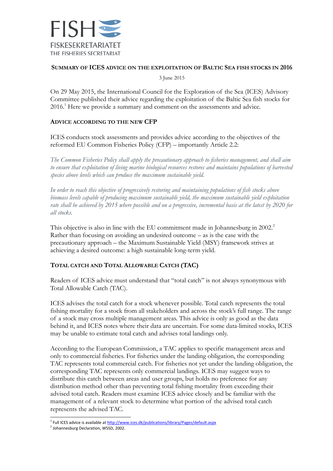

# **SUMMARY OF ICES ADVICE ON THE EXPLOITATION OF BALTIC SEA FISH STOCKS IN 2016**

3 June 2015

On 29 May 2015, the International Council for the Exploration of the Sea (ICES) Advisory Committee published their advice regarding the exploitation of the Baltic Sea fish stocks for 2016. <sup>1</sup> Here we provide a summary and comment on the assessments and advice.

# **ADVICE ACCORDING TO THE NEW CFP**

ICES conducts stock assessments and provides advice according to the objectives of the reformed EU Common Fisheries Policy (CFP) – importantly Article 2.2:

*The Common Fisheries Policy shall apply the precautionary approach to fisheries management, and shall aim to ensure that exploitation of living marine biological resources restores and maintains populations of harvested species above levels which can produce the maximum sustainable yield.*

*In order to reach this objective of progressively restoring and maintaining populations of fish stocks above biomass levels capable of producing maximum sustainable yield, the maximum sustainable yield exploitation rate shall be achieved by 2015 where possible and on a progressive, incremental basis at the latest by 2020 for all stocks.*

This objective is also in line with the EU commitment made in Johannesburg in 2002.<sup>2</sup> Rather than focusing on avoiding an undesired outcome – as is the case with the precautionary approach – the Maximum Sustainable Yield (MSY) framework strives at achieving a desired outcome: a high sustainable long-term yield.

# **TOTAL CATCH AND TOTAL ALLOWABLE CATCH (TAC)**

Readers of ICES advice must understand that "total catch" is not always synonymous with Total Allowable Catch (TAC).

ICES advises the total catch for a stock whenever possible. Total catch represents the total fishing mortality for a stock from all stakeholders and across the stock's full range. The range of a stock may cross multiple management areas. This advice is only as good as the data behind it, and ICES notes where their data are uncertain. For some data-limited stocks, ICES may be unable to estimate total catch and advises total landings only.

According to the European Commission, a TAC applies to specific management areas and only to commercial fisheries. For fisheries under the landing obligation, the corresponding TAC represents total commercial catch. For fisheries not yet under the landing obligation, the corresponding TAC represents only commercial landings. ICES may suggest ways to distribute this catch between areas and user groups, but holds no preference for any distribution method other than preventing total fishing mortality from exceeding their advised total catch. Readers must examine ICES advice closely and be familiar with the management of a relevant stock to determine what portion of the advised total catch represents the advised TAC.

<sup>1</sup> Full ICES advice is available a[t http://www.ices.dk/publications/library/Pages/default.aspx](http://www.ices.dk/publications/library/Pages/default.aspx)

<sup>2</sup> Johannesburg Declaration, WSSD, 2002.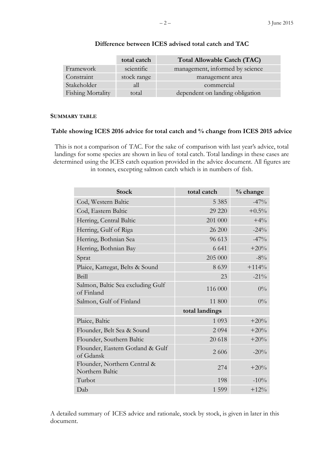|                          | total catch | Total Allowable Catch (TAC)     |  |
|--------------------------|-------------|---------------------------------|--|
| Framework                | scientific  | management, informed by science |  |
| Constraint               | stock range | management area                 |  |
| Stakeholder              | all         | commercial                      |  |
| <b>Fishing Mortality</b> | total       | dependent on landing obligation |  |

### **Difference between ICES advised total catch and TAC**

### **SUMMARY TABLE**

#### **Table showing ICES 2016 advice for total catch and % change from ICES 2015 advice**

This is not a comparison of TAC. For the sake of comparison with last year's advice, total landings for some species are shown in lieu of total catch. Total landings in these cases are determined using the ICES catch equation provided in the advice document. All figures are in tonnes, excepting salmon catch which is in numbers of fish.

| <b>Stock</b>                                    | total catch    | % change |
|-------------------------------------------------|----------------|----------|
| Cod, Western Baltic                             | 5 3 8 5        | $-47%$   |
| Cod, Eastern Baltic                             | 29 220         | $+0.5\%$ |
| Herring, Central Baltic                         | 201 000        | $+4%$    |
| Herring, Gulf of Riga                           | 26 200         | $-24%$   |
| Herring, Bothnian Sea                           | 96 613         | $-47%$   |
| Herring, Bothnian Bay                           | 6 6 4 1        | $+20%$   |
| Sprat                                           | 205 000        | $-8\%$   |
| Plaice, Kattegat, Belts & Sound                 | 8 6 3 9        | $+114%$  |
| <b>Brill</b>                                    | 23             | $-21\%$  |
| Salmon, Baltic Sea excluding Gulf<br>of Finland | 116 000        | $0\%$    |
| Salmon, Gulf of Finland                         | 11 800         | $0\%$    |
|                                                 | total landings |          |
| Plaice, Baltic                                  | 1 0 9 3        | $+20%$   |
| Flounder, Belt Sea & Sound                      | 2094           | $+20%$   |
| Flounder, Southern Baltic                       | 20 618         | $+20%$   |
| Flounder, Eastern Gotland & Gulf<br>of Gdansk   | 2 6 0 6        | $-20%$   |
| Flounder, Northern Central &<br>Northern Baltic | 274            | $+20%$   |
| Turbot                                          | 198            | $-10%$   |
| Dab                                             | 1 5 9 9        | $+12\%$  |

A detailed summary of ICES advice and rationale, stock by stock, is given in later in this document.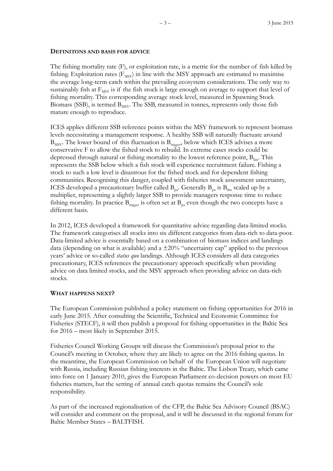#### **DEFINITONS AND BASIS FOR ADVICE**

The fishing mortality rate (F), or exploitation rate, is a metric for the number of fish killed by fishing. Exploitation rates  $(F_{\text{MSY}})$  in line with the MSY approach are estimated to maximise the average long-term catch within the prevailing ecosystem considerations. The only way to sustainably fish at  $F_{MSY}$  is if the fish stock is large enough on average to support that level of fishing mortality. This corresponding average stock level, measured in Spawning Stock Biomass (SSB), is termed  $B_{MSV}$ . The SSB, measured in tonnes, represents only those fish mature enough to reproduce.

ICES applies different SSB reference points within the MSY framework to represent biomass levels necessitating a management response. A healthy SSB will naturally fluctuate around  $B_{MSY}$ . The lower bound of this fluctuation is  $B_{trigger}$ , below which ICES advises a more conservative F to allow the fished stock to rebuild. In extreme cases stocks could be depressed through natural or fishing mortality to the lowest reference point,  $B_{\text{lin}}$ . This represents the SSB below which a fish stock will experience recruitment failure. Fishing a stock to such a low level is disastrous for the fished stock and for dependent fishing communities. Recognising this danger, coupled with fisheries stock assessment uncertainty, ICES developed a precautionary buffer called  $B_{pq}$ . Generally  $B_{pq}$  is  $B_{lim}$  scaled up by a multiplier, representing a slightly larger SSB to provide managers response time to reduce fishing mortality. In practice  $B_{t{riseger}}$  is often set at  $B_{pa}$  even though the two concepts have a different basis.

In 2012, ICES developed a framework for quantitative advice regarding data-limited stocks. The framework categorises all stocks into six different categories from data-rich to data-poor. Data-limited advice is essentially based on a combination of biomass indices and landings data (depending on what is available) and a  $\pm 20\%$  "uncertainty cap" applied to the previous years' advice or so-called *status quo* landings. Although ICES considers all data categories precautionary, ICES references the precautionary approach specifically when providing advice on data limited stocks, and the MSY approach when providing advice on data-rich stocks.

### **WHAT HAPPENS NEXT?**

The European Commission published a policy statement on fishing opportunities for 2016 in early June 2015. After consulting the Scientific, Technical and Economic Committee for Fisheries (STECF), it will then publish a proposal for fishing opportunities in the Baltic Sea for 2016 – most likely in September 2015.

Fisheries Council Working Groups will discuss the Commission's proposal prior to the Council's meeting in October, where they are likely to agree on the 2016 fishing quotas. In the meantime, the European Commission on behalf of the European Union will negotiate with Russia, including Russian fishing interests in the Baltic. The Lisbon Treaty, which came into force on 1 January 2010, gives the European Parliament co-decision powers on most EU fisheries matters, but the setting of annual catch quotas remains the Council's sole responsibility.

As part of the increased regionalisation of the CFP, the Baltic Sea Advisory Council (BSAC) will consider and comment on the proposal, and it will be discussed in the regional forum for Baltic Member States – BALTFISH.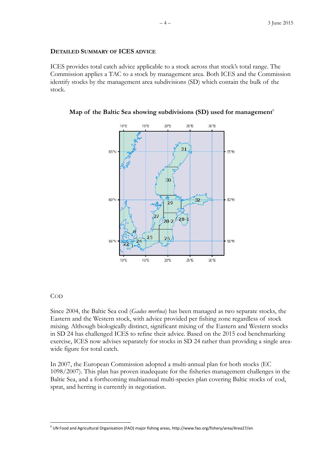#### **DETAILED SUMMARY OF ICES ADVICE**

ICES provides total catch advice applicable to a stock across that stock's total range. The Commission applies a TAC to a stock by management area. Both ICES and the Commission identify stocks by the management area subdivisions (SD) which contain the bulk of the stock.





### COD

-

Since 2004, the Baltic Sea cod (*Gadus morhua*) has been managed as two separate stocks, the Eastern and the Western stock, with advice provided per fishing zone regardless of stock mixing. Although biologically distinct, significant mixing of the Eastern and Western stocks in SD 24 has challenged ICES to refine their advice. Based on the 2015 cod benchmarking exercise, ICES now advises separately for stocks in SD 24 rather than providing a single areawide figure for total catch.

In 2007, the European Commission adopted a multi-annual plan for both stocks (EC 1098/2007). This plan has proven inadequate for the fisheries management challenges in the Baltic Sea, and a forthcoming multiannual multi-species plan covering Baltic stocks of cod, sprat, and herring is currently in negotiation.

<sup>6</sup> UN Food and Agricultural Organisation (FAO) major fishing areas, http://www.fao.org/fishery/area/Area27/en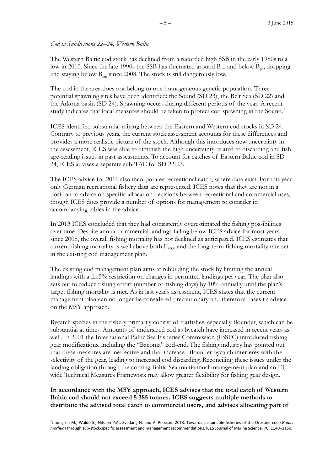### *Cod in Subdivisions 22–24, Western Baltic*

The Western Baltic cod stock has declined from a recorded high SSB in the early 1980s to a low in 2010. Since the late 1990s the SSB has fluctuated around  $B_{\text{lim}}$  and below  $B_{\text{p}a}$ , dropping and staying below  $B_{lim}$  since 2008. The stock is still dangerously low.

The cod in the area does not belong to one homogeneous genetic population. Three potential spawning sites have been identified: the Sound (SD 23), the Belt Sea (SD 22) and the Arkona basin (SD 24). Spawning occurs during different periods of the year. A recent study indicates that local measures should be taken to protect cod spawning in the Sound.<sup>7</sup>

ICES identified substantial mixing between the Eastern and Western cod stocks in SD 24. Contrary to previous years, the current stock assessment accounts for these differences and provides a more realistic picture of the stock. Although this introduces new uncertainty in the assessment, ICES was able to diminish the high uncertainty related to discarding and fish age-reading issues in past assessments. To account for catches of Eastern Baltic cod in SD 24, ICES advises a separate sub-TAC for SD 22-23.

The ICES advice for 2016 also incorporates recreational catch, where data exist. For this year only German recreational fishery data are represented. ICES notes that they are not in a position to advise on specific allocation decisions between recreational and commercial uses, though ICES does provide a number of options for management to consider in accompanying tables in the advice.

In 2013 ICES concluded that they had consistently overestimated the fishing possibilities over time. Despite annual commercial landings falling below ICES advice for most years since 2008, the overall fishing mortality has not declined as anticipated. ICES estimates that current fishing mortality is well above both  $F_{MSY}$  and the long-term fishing mortality rate set in the existing cod management plan.

The existing cod management plan aims at rebuilding the stock by limiting the annual landings with a  $\pm 15\%$  restriction on changes in permitted landings per year. The plan also sets out to reduce fishing effort (number of fishing days) by 10% annually until the plan's target fishing mortality is met. As in last year's assessment, ICES states that the current management plan can no longer be considered precautionary and therefore bases its advice on the MSY approach.

Bycatch species in the fishery primarily consist of flatfishes, especially flounder, which can be substantial at times. Amounts of undersized cod as bycatch have increased in recent years as well. In 2001 the International Baltic Sea Fisheries Commission (IBSFC) introduced fishing gear modifications, including the "Bacoma" cod-end. The fishing industry has pointed out that these measures are ineffective and that increased flounder bycatch interferes with the selectivity of the gear, leading to increased cod discarding. Reconciling these issues under the landing obligation through the coming Baltic Sea multiannual management plan and an EUwide Technical Measures Framework may allow greater flexibility for fishing gear design.

**In accordance with the MSY approach, ICES advises that the total catch of Western Baltic cod should not exceed 5 385 tonnes. ICES suggests multiple methods to distribute the advised total catch to commercial users, and advises allocating part of** 

-

<sup>7</sup> Lindegren M., Waldo S., Nilsson P.A., Svedäng H. and A. Persson. 2013. Towards sustainable fisheries of the Öresund cod (*Gadus morhua*) through sub-stock-specific assessment and management recommendations. ICES Journal of Marine Science, 70: 1140–1150.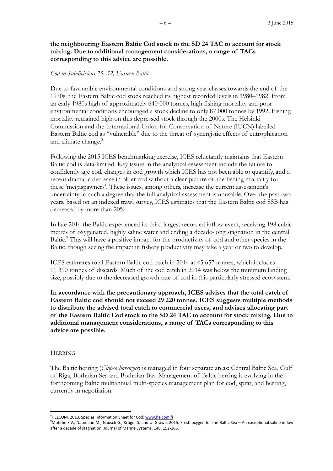**the neighbouring Eastern Baltic Cod stock to the SD 24 TAC to account for stock mixing. Due to additional management considerations, a range of TACs corresponding to this advice are possible.**

#### *Cod in Subdivisions 25–32, Eastern Baltic*

Due to favourable environmental conditions and strong year classes towards the end of the 1970s, the Eastern Baltic cod stock reached its highest recorded levels in 1980–1982. From an early 1980s high of approximately 640 000 tonnes, high fishing mortality and poor environmental conditions encouraged a stock decline to only 87 000 tonnes by 1992. Fishing mortality remained high on this depressed stock through the 2000s. The Helsinki Commission and the International Union for Conservation of Nature (IUCN) labelled Eastern Baltic cod as "vulnerable" due to the threat of synergistic effects of eutrophication and climate change. 8

Following the 2015 ICES benchmarking exercise, ICES reluctantly maintains that Eastern Baltic cod is data-limited. Key issues in the analytical assessment include the failure to confidently age cod, changes in cod growth which ICES has not been able to quantify, and a recent dramatic decrease in older cod without a clear picture of the fishing mortality for these 'megaspawners'. These issues, among others, increase the current assessment's uncertainty to such a degree that the full analytical assessment is unusable. Over the past two years, based on an indexed trawl survey, ICES estimates that the Eastern Baltic cod SSB has decreased by more than 20%.

In late 2014 the Baltic experienced its third largest recorded inflow event, receiving 198 cubic metres of oxygenated, highly saline water and ending a decade-long stagnation in the central Baltic.<sup>9</sup> This will have a positive impact for the productivity of cod and other species in the Baltic, though seeing the impact in fishery productivity may take a year or two to develop.

ICES estimates total Eastern Baltic cod catch in 2014 at 45 657 tonnes, which includes 11 310 tonnes of discards. Much of the cod catch in 2014 was below the minimum landing size, possibly due to the decreased growth rate of cod in this particularly stressed ecosystem.

**In accordance with the precautionary approach, ICES advises that the total catch of Eastern Baltic cod should not exceed 29 220 tonnes. ICES suggests multiple methods to distribute the advised total catch to commercial users, and advises allocating part of the Eastern Baltic Cod stock to the SD 24 TAC to account for stock mixing. Due to additional management considerations, a range of TACs corresponding to this advice are possible.**

#### **HERRING**

-

The Baltic herring (*Clupea harengus*) is managed in four separate areas: Central Baltic Sea, Gulf of Riga, Bothnian Sea and Bothnian Bay. Management of Baltic herring is evolving in the forthcoming Baltic multiannual multi-species management plan for cod, sprat, and herring, currently in negotiation.

<sup>&</sup>lt;sup>8</sup>HELCOM, 2013. Species Information Sheet for Cod: [www.helcom.fi](http://www.helcom.fi/)

<sup>9</sup>Mohrholz V., Naumann M., Nausch G., Krüger S. and U. Gräwe. 2015. Fresh oxygen for the Baltic Sea – An exceptional saline inflow after a decade of stagnation. Journal of Marine Systems, 148: 152-166.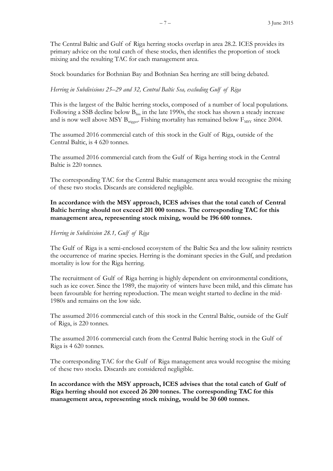The Central Baltic and Gulf of Riga herring stocks overlap in area 28.2. ICES provides its primary advice on the total catch of these stocks, then identifies the proportion of stock mixing and the resulting TAC for each management area.

Stock boundaries for Bothnian Bay and Bothnian Sea herring are still being debated.

### *Herring in Subdivisions 25–29 and 32, Central Baltic Sea, excluding Gulf of Riga*

This is the largest of the Baltic herring stocks, composed of a number of local populations. Following a SSB decline below  $B_{\text{lim}}$  in the late 1990s, the stock has shown a steady increase and is now well above MSY  $B_{trigger}$ . Fishing mortality has remained below  $F_{MSV}$  since 2004.

The assumed 2016 commercial catch of this stock in the Gulf of Riga, outside of the Central Baltic, is 4 620 tonnes.

The assumed 2016 commercial catch from the Gulf of Riga herring stock in the Central Baltic is 220 tonnes.

The corresponding TAC for the Central Baltic management area would recognise the mixing of these two stocks. Discards are considered negligible.

# **In accordance with the MSY approach, ICES advises that the total catch of Central Baltic herring should not exceed 201 000 tonnes. The corresponding TAC for this management area, representing stock mixing, would be 196 600 tonnes.**

### *Herring in Subdivision 28.1, Gulf of Riga*

The Gulf of Riga is a semi-enclosed ecosystem of the Baltic Sea and the low salinity restricts the occurrence of marine species. Herring is the dominant species in the Gulf, and predation mortality is low for the Riga herring.

The recruitment of Gulf of Riga herring is highly dependent on environmental conditions, such as ice cover. Since the 1989, the majority of winters have been mild, and this climate has been favourable for herring reproduction. The mean weight started to decline in the mid-1980s and remains on the low side.

The assumed 2016 commercial catch of this stock in the Central Baltic, outside of the Gulf of Riga, is 220 tonnes.

The assumed 2016 commercial catch from the Central Baltic herring stock in the Gulf of Riga is 4 620 tonnes.

The corresponding TAC for the Gulf of Riga management area would recognise the mixing of these two stocks. Discards are considered negligible.

**In accordance with the MSY approach, ICES advises that the total catch of Gulf of Riga herring should not exceed 26 200 tonnes. The corresponding TAC for this management area, representing stock mixing, would be 30 600 tonnes.**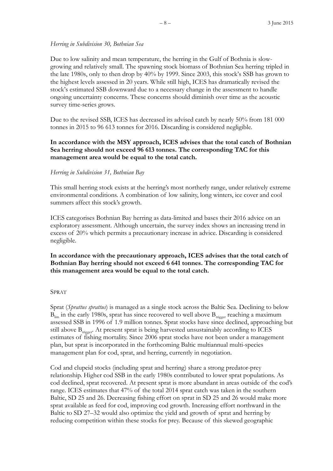### *Herring in Subdivision 30, Bothnian Sea*

Due to low salinity and mean temperature, the herring in the Gulf of Bothnia is slowgrowing and relatively small. The spawning stock biomass of Bothnian Sea herring tripled in the late 1980s, only to then drop by 40% by 1999. Since 2003, this stock's SSB has grown to the highest levels assessed in 20 years. While still high, ICES has dramatically revised the stock's estimated SSB downward due to a necessary change in the assessment to handle ongoing uncertainty concerns. These concerns should diminish over time as the acoustic survey time-series grows.

Due to the revised SSB, ICES has decreased its advised catch by nearly 50% from 181 000 tonnes in 2015 to 96 613 tonnes for 2016. Discarding is considered negligible.

# **In accordance with the MSY approach, ICES advises that the total catch of Bothnian Sea herring should not exceed 96 613 tonnes. The corresponding TAC for this management area would be equal to the total catch.**

### *Herring in Subdivision 31, Bothnian Bay*

This small herring stock exists at the herring's most northerly range, under relatively extreme environmental conditions. A combination of low salinity, long winters, ice cover and cool summers affect this stock's growth.

ICES categorises Bothnian Bay herring as data-limited and bases their 2016 advice on an exploratory assessment. Although uncertain, the survey index shows an increasing trend in excess of 20% which permits a precautionary increase in advice. Discarding is considered negligible.

# **In accordance with the precautionary approach, ICES advises that the total catch of Bothnian Bay herring should not exceed 6 641 tonnes. The corresponding TAC for this management area would be equal to the total catch.**

### SPRAT

Sprat (*Sprattus sprattus*) is managed as a single stock across the Baltic Sea. Declining to below  $B_{\text{lim}}$  in the early 1980s, sprat has since recovered to well above  $B_{\text{trigger}}$  reaching a maximum assessed SSB in 1996 of 1.9 million tonnes. Sprat stocks have since declined, approaching but still above  $B_{trigger}$ . At present sprat is being harvested unsustainably according to ICES estimates of fishing mortality. Since 2006 sprat stocks have not been under a management plan, but sprat is incorporated in the forthcoming Baltic multiannual multi-species management plan for cod, sprat, and herring, currently in negotiation.

Cod and clupeid stocks (including sprat and herring) share a strong predator-prey relationship. Higher cod SSB in the early 1980s contributed to lower sprat populations. As cod declined, sprat recovered. At present sprat is more abundant in areas outside of the cod's range. ICES estimates that 47% of the total 2014 sprat catch was taken in the southern Baltic, SD 25 and 26. Decreasing fishing effort on sprat in SD 25 and 26 would make more sprat available as feed for cod, improving cod growth. Increasing effort northward in the Baltic to SD 27–32 would also optimize the yield and growth of sprat and herring by reducing competition within these stocks for prey. Because of this skewed geographic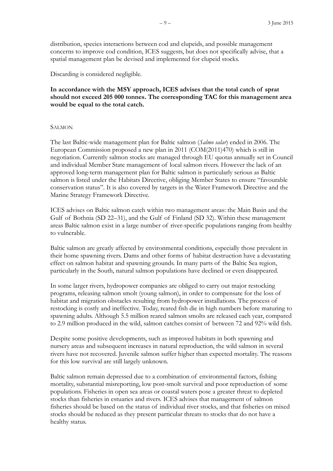distribution, species interactions between cod and clupeids, and possible management concerns to improve cod condition, ICES suggests, but does not specifically advise, that a spatial management plan be devised and implemented for clupeid stocks.

Discarding is considered negligible.

# **In accordance with the MSY approach, ICES advises that the total catch of sprat should not exceed 205 000 tonnes. The corresponding TAC for this management area would be equal to the total catch.**

### **SALMON**

The last Baltic-wide management plan for Baltic salmon (*Salmo salar*) ended in 2006. The European Commission proposed a new plan in 2011 (COM(2011)470) which is still in negotiation. Currently salmon stocks are managed through EU quotas annually set in Council and individual Member State management of local salmon rivers. However the lack of an approved long-term management plan for Baltic salmon is particularly serious as Baltic salmon is listed under the Habitats Directive, obliging Member States to ensure "favourable conservation status". It is also covered by targets in the Water Framework Directive and the Marine Strategy Framework Directive.

ICES advises on Baltic salmon catch within two management areas: the Main Basin and the Gulf of Bothnia (SD 22–31), and the Gulf of Finland (SD 32). Within these management areas Baltic salmon exist in a large number of river-specific populations ranging from healthy to vulnerable.

Baltic salmon are greatly affected by environmental conditions, especially those prevalent in their home spawning rivers. Dams and other forms of habitat destruction have a devastating effect on salmon habitat and spawning grounds. In many parts of the Baltic Sea region, particularly in the South, natural salmon populations have declined or even disappeared.

In some larger rivers, hydropower companies are obliged to carry out major restocking programs, releasing salmon smolt (young salmon), in order to compensate for the loss of habitat and migration obstacles resulting from hydropower installations. The process of restocking is costly and ineffective. Today, reared fish die in high numbers before maturing to spawning adults. Although 5.5 million reared salmon smolts are released each year, compared to 2.9 million produced in the wild, salmon catches consist of between 72 and 92% wild fish.

Despite some positive developments, such as improved habitats in both spawning and nursery areas and subsequent increases in natural reproduction, the wild salmon in several rivers have not recovered. Juvenile salmon suffer higher than expected mortality. The reasons for this low survival are still largely unknown.

Baltic salmon remain depressed due to a combination of environmental factors, fishing mortality, substantial misreporting, low post-smolt survival and poor reproduction of some populations. Fisheries in open sea areas or coastal waters pose a greater threat to depleted stocks than fisheries in estuaries and rivers. ICES advises that management of salmon fisheries should be based on the status of individual river stocks, and that fisheries on mixed stocks should be reduced as they present particular threats to stocks that do not have a healthy status.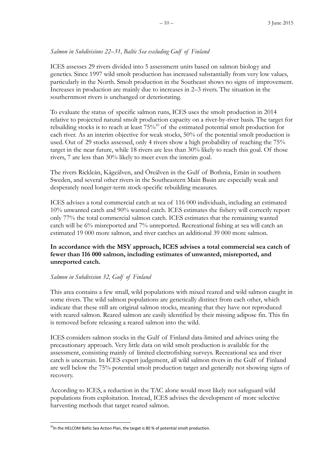# *Salmon in Subdivisions 22–31, Baltic Sea excluding Gulf of Finland*

ICES assesses 29 rivers divided into 5 assessment units based on salmon biology and genetics. Since 1997 wild smolt production has increased substantially from very low values, particularly in the North. Smolt production in the Southeast shows no signs of improvement. Increases in production are mainly due to increases in 2–3 rivers. The situation in the southernmost rivers is unchanged or deteriorating.

To evaluate the status of specific salmon runs, ICES uses the smolt production in 2014 relative to projected natural smolt production capacity on a river-by-river basis. The target for rebuilding stocks is to reach at least  $75\%$ <sup>10</sup> of the estimated potential smolt production for each river. As an interim objective for weak stocks, 50% of the potential smolt production is used. Out of 29 stocks assessed, only 4 rivers show a high probability of reaching the 75% target in the near future, while 18 rivers are less than 30% likely to reach this goal. Of those rivers, 7 are less than 30% likely to meet even the interim goal.

The rivers Rickleån, Kågeälven, and Öreälven in the Gulf of Bothnia, Emån in southern Sweden, and several other rivers in the Southeastern Main Basin are especially weak and desperately need longer-term stock-specific rebuilding measures.

ICES advises a total commercial catch at sea of 116 000 individuals, including an estimated 10% unwanted catch and 90% wanted catch. ICES estimates the fishery will correctly report only 77% the total commercial salmon catch. ICES estimates that the remaining wanted catch will be 6% misreported and 7% unreported. Recreational fishing at sea will catch an estimated 19 000 more salmon, and river catches an additional 39 000 more salmon.

# **In accordance with the MSY approach, ICES advises a total commercial sea catch of fewer than 116 000 salmon, including estimates of unwanted, misreported, and unreported catch.**

### *Salmon in Subdivision 32, Gulf of Finland*

This area contains a few small, wild populations with mixed reared and wild salmon caught in some rivers. The wild salmon populations are genetically distinct from each other, which indicate that these still are original salmon stocks, meaning that they have not reproduced with reared salmon. Reared salmon are easily identified by their missing adipose fin. This fin is removed before releasing a reared salmon into the wild.

ICES considers salmon stocks in the Gulf of Finland data-limited and advises using the precautionary approach. Very little data on wild smolt production is available for the assessment, consisting mainly of limited electrofishing surveys. Recreational sea and river catch is uncertain. In ICES expert judgement, all wild salmon rivers in the Gulf of Finland are well below the 75% potential smolt production target and generally not showing signs of recovery.

According to ICES, a reduction in the TAC alone would most likely not safeguard wild populations from exploitation. Instead, ICES advises the development of more selective harvesting methods that target reared salmon.

<sup>-</sup> $10$ In the HELCOM Baltic Sea Action Plan, the target is 80 % of potential smolt production.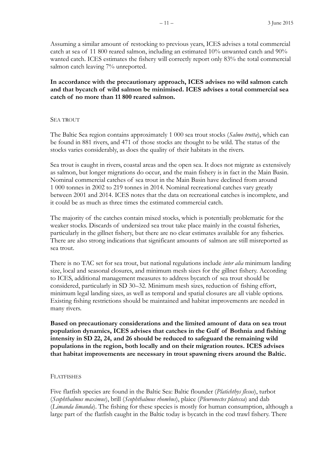Assuming a similar amount of restocking to previous years, ICES advises a total commercial catch at sea of 11 800 reared salmon, including an estimated 10% unwanted catch and 90% wanted catch. ICES estimates the fishery will correctly report only 83% the total commercial salmon catch leaving 7% unreported.

**In accordance with the precautionary approach, ICES advises no wild salmon catch and that bycatch of wild salmon be minimised. ICES advises a total commercial sea catch of no more than 11 800 reared salmon.**

#### SEA TROUT

The Baltic Sea region contains approximately 1 000 sea trout stocks (*Salmo trutta*), which can be found in 881 rivers, and 471 of those stocks are thought to be wild. The status of the stocks varies considerably, as does the quality of their habitats in the rivers.

Sea trout is caught in rivers, coastal areas and the open sea. It does not migrate as extensively as salmon, but longer migrations do occur, and the main fishery is in fact in the Main Basin. Nominal commercial catches of sea trout in the Main Basin have declined from around 1 000 tonnes in 2002 to 219 tonnes in 2014. Nominal recreational catches vary greatly between 2001 and 2014. ICES notes that the data on recreational catches is incomplete, and it could be as much as three times the estimated commercial catch.

The majority of the catches contain mixed stocks, which is potentially problematic for the weaker stocks. Discards of undersized sea trout take place mainly in the coastal fisheries, particularly in the gillnet fishery, but there are no clear estimates available for any fisheries. There are also strong indications that significant amounts of salmon are still misreported as sea trout.

There is no TAC set for sea trout, but national regulations include *inter alia* minimum landing size, local and seasonal closures, and minimum mesh sizes for the gillnet fishery. According to ICES, additional management measures to address bycatch of sea trout should be considered, particularly in SD 30–32. Minimum mesh sizes, reduction of fishing effort, minimum legal landing sizes, as well as temporal and spatial closures are all viable options. Existing fishing restrictions should be maintained and habitat improvements are needed in many rivers.

**Based on precautionary considerations and the limited amount of data on sea trout population dynamics, ICES advises that catches in the Gulf of Bothnia and fishing intensity in SD 22, 24, and 26 should be reduced to safeguard the remaining wild populations in the region, both locally and on their migration routes. ICES advises that habitat improvements are necessary in trout spawning rivers around the Baltic.**

#### FLATFISHES

Five flatfish species are found in the Baltic Sea: Baltic flounder (*Platichthys flesus*), turbot (*Scophthalmus maximus*), brill (*Scophthalmus rhombus*), plaice (*Pleuronectes platessa*) and dab (*Limanda limanda*). The fishing for these species is mostly for human consumption, although a large part of the flatfish caught in the Baltic today is bycatch in the cod trawl fishery. There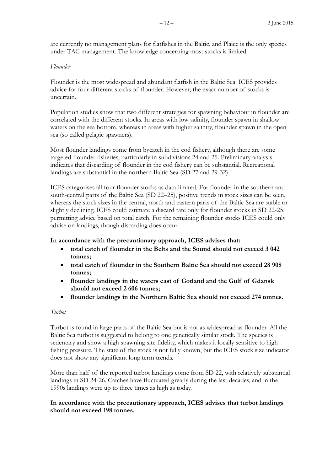are currently no management plans for flatfishes in the Baltic, and Plaice is the only species under TAC management. The knowledge concerning most stocks is limited.

### *Flounder*

Flounder is the most widespread and abundant flatfish in the Baltic Sea. ICES provides advice for four different stocks of flounder. However, the exact number of stocks is uncertain.

Population studies show that two different strategies for spawning behaviour in flounder are correlated with the different stocks. In areas with low salinity, flounder spawn in shallow waters on the sea bottom, whereas in areas with higher salinity, flounder spawn in the open sea (so called pelagic spawners).

Most flounder landings come from bycatch in the cod fishery, although there are some targeted flounder fisheries, particularly in subdivisions 24 and 25. Preliminary analysis indicates that discarding of flounder in the cod fishery can be substantial. Recreational landings are substantial in the northern Baltic Sea (SD 27 and 29-32).

ICES categorises all four flounder stocks as data-limited. For flounder in the southern and south-central parts of the Baltic Sea (SD 22–25), positive trends in stock sizes can be seen, whereas the stock sizes in the central, north and eastern parts of the Baltic Sea are stable or slightly declining. ICES could estimate a discard rate only for flounder stocks in SD 22-25, permitting advice based on total catch. For the remaining flounder stocks ICES could only advise on landings, though discarding does occur.

# **In accordance with the precautionary approach, ICES advises that:**

- **total catch of flounder in the Belts and the Sound should not exceed 3 042 tonnes;**
- **total catch of flounder in the Southern Baltic Sea should not exceed 28 908 tonnes;**
- **flounder landings in the waters east of Gotland and the Gulf of Gdansk should not exceed 2 606 tonnes;**
- **flounder landings in the Northern Baltic Sea should not exceed 274 tonnes.**

### *Turbot*

Turbot is found in large parts of the Baltic Sea but is not as widespread as flounder. All the Baltic Sea turbot is suggested to belong to one genetically similar stock. The species is sedentary and show a high spawning site fidelity, which makes it locally sensitive to high fishing pressure. The state of the stock is not fully known, but the ICES stock size indicator does not show any significant long term trends.

More than half of the reported turbot landings come from SD 22, with relatively substantial landings in SD 24-26. Catches have fluctuated greatly during the last decades, and in the 1990s landings were up to three times as high as today.

# **In accordance with the precautionary approach, ICES advises that turbot landings should not exceed 198 tonnes.**